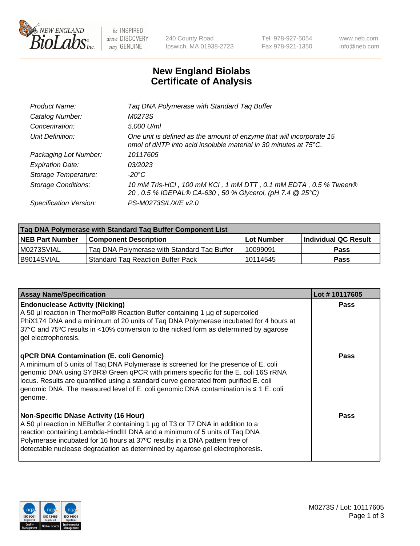

be INSPIRED drive DISCOVERY stay GENUINE

240 County Road Ipswich, MA 01938-2723 Tel 978-927-5054 Fax 978-921-1350 www.neb.com info@neb.com

## **New England Biolabs Certificate of Analysis**

| Tag DNA Polymerase with Standard Tag Buffer                                                                                              |
|------------------------------------------------------------------------------------------------------------------------------------------|
| M0273S                                                                                                                                   |
| 5,000 U/ml                                                                                                                               |
| One unit is defined as the amount of enzyme that will incorporate 15<br>nmol of dNTP into acid insoluble material in 30 minutes at 75°C. |
| 10117605                                                                                                                                 |
| 03/2023                                                                                                                                  |
| $-20^{\circ}$ C                                                                                                                          |
| 10 mM Tris-HCl, 100 mM KCl, 1 mM DTT, 0.1 mM EDTA, 0.5 % Tween®<br>20, 0.5 % IGEPAL® CA-630, 50 % Glycerol, (pH 7.4 @ 25°C)              |
| PS-M0273S/L/X/E v2.0                                                                                                                     |
|                                                                                                                                          |

| Tag DNA Polymerase with Standard Tag Buffer Component List |                                             |                   |                      |  |
|------------------------------------------------------------|---------------------------------------------|-------------------|----------------------|--|
| <b>NEB Part Number</b>                                     | <b>Component Description</b>                | <b>Lot Number</b> | Individual QC Result |  |
| M0273SVIAL                                                 | Tag DNA Polymerase with Standard Tag Buffer | 10099091          | <b>Pass</b>          |  |
| B9014SVIAL                                                 | <b>Standard Tag Reaction Buffer Pack</b>    | 10114545          | <b>Pass</b>          |  |

| <b>Assay Name/Specification</b>                                                                                                                                                                                                                                                                                                                                                                               | Lot #10117605 |
|---------------------------------------------------------------------------------------------------------------------------------------------------------------------------------------------------------------------------------------------------------------------------------------------------------------------------------------------------------------------------------------------------------------|---------------|
| <b>Endonuclease Activity (Nicking)</b><br>A 50 µl reaction in ThermoPol® Reaction Buffer containing 1 µg of supercoiled<br>PhiX174 DNA and a minimum of 20 units of Taq DNA Polymerase incubated for 4 hours at<br>37°C and 75°C results in <10% conversion to the nicked form as determined by agarose<br>gel electrophoresis.                                                                               | <b>Pass</b>   |
| qPCR DNA Contamination (E. coli Genomic)<br>A minimum of 5 units of Taq DNA Polymerase is screened for the presence of E. coli<br>genomic DNA using SYBR® Green qPCR with primers specific for the E. coli 16S rRNA<br>locus. Results are quantified using a standard curve generated from purified E. coli<br>genomic DNA. The measured level of E. coli genomic DNA contamination is ≤ 1 E. coli<br>genome. | Pass          |
| <b>Non-Specific DNase Activity (16 Hour)</b><br>A 50 µl reaction in NEBuffer 2 containing 1 µg of T3 or T7 DNA in addition to a<br>reaction containing Lambda-HindIII DNA and a minimum of 5 units of Taq DNA<br>Polymerase incubated for 16 hours at 37°C results in a DNA pattern free of<br>detectable nuclease degradation as determined by agarose gel electrophoresis.                                  | Pass          |

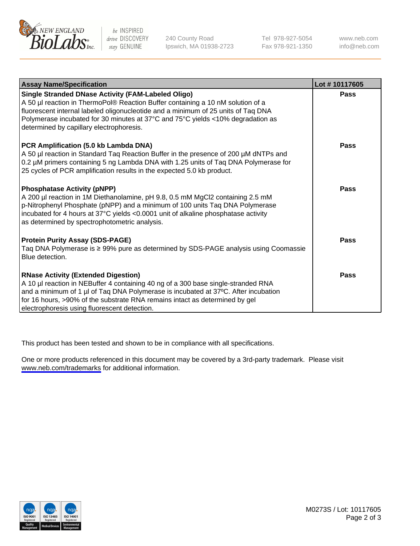

be INSPIRED drive DISCOVERY stay GENUINE

240 County Road Ipswich, MA 01938-2723 Tel 978-927-5054 Fax 978-921-1350

www.neb.com info@neb.com

| <b>Assay Name/Specification</b>                                                                                                                                                                                                                                                                                                                           | Lot #10117605 |
|-----------------------------------------------------------------------------------------------------------------------------------------------------------------------------------------------------------------------------------------------------------------------------------------------------------------------------------------------------------|---------------|
| Single Stranded DNase Activity (FAM-Labeled Oligo)<br>A 50 µl reaction in ThermoPol® Reaction Buffer containing a 10 nM solution of a<br>fluorescent internal labeled oligonucleotide and a minimum of 25 units of Taq DNA<br>Polymerase incubated for 30 minutes at 37°C and 75°C yields <10% degradation as<br>determined by capillary electrophoresis. | <b>Pass</b>   |
| PCR Amplification (5.0 kb Lambda DNA)<br>A 50 µl reaction in Standard Taq Reaction Buffer in the presence of 200 µM dNTPs and<br>0.2 µM primers containing 5 ng Lambda DNA with 1.25 units of Taq DNA Polymerase for<br>25 cycles of PCR amplification results in the expected 5.0 kb product.                                                            | <b>Pass</b>   |
| <b>Phosphatase Activity (pNPP)</b><br>A 200 µl reaction in 1M Diethanolamine, pH 9.8, 0.5 mM MgCl2 containing 2.5 mM<br>p-Nitrophenyl Phosphate (pNPP) and a minimum of 100 units Taq DNA Polymerase<br>incubated for 4 hours at 37°C yields <0.0001 unit of alkaline phosphatase activity<br>as determined by spectrophotometric analysis.               | <b>Pass</b>   |
| <b>Protein Purity Assay (SDS-PAGE)</b><br>Taq DNA Polymerase is ≥ 99% pure as determined by SDS-PAGE analysis using Coomassie<br>Blue detection.                                                                                                                                                                                                          | <b>Pass</b>   |
| <b>RNase Activity (Extended Digestion)</b><br>A 10 µl reaction in NEBuffer 4 containing 40 ng of a 300 base single-stranded RNA<br>and a minimum of 1 µl of Taq DNA Polymerase is incubated at 37°C. After incubation<br>for 16 hours, >90% of the substrate RNA remains intact as determined by gel<br>electrophoresis using fluorescent detection.      | Pass          |

This product has been tested and shown to be in compliance with all specifications.

One or more products referenced in this document may be covered by a 3rd-party trademark. Please visit <www.neb.com/trademarks>for additional information.